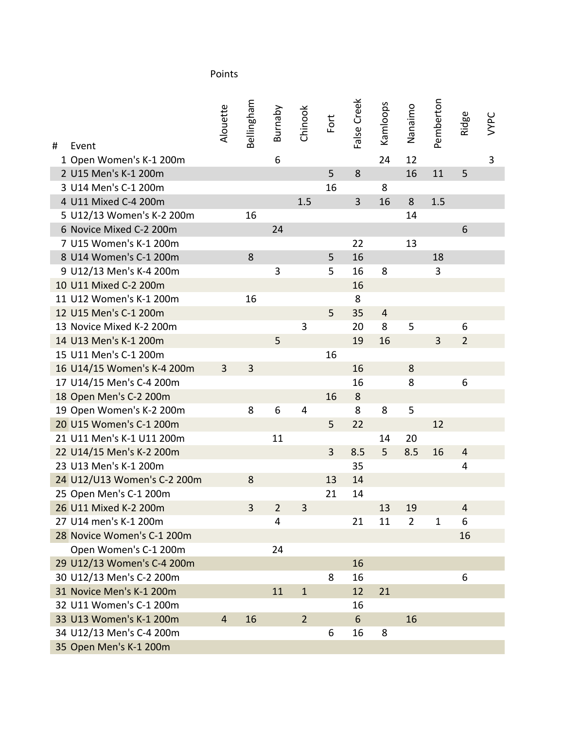| # | Event                       | Alouette | Bellingham | Burnaby        | Chinook        | Fort | False Creek    | Kamloops       | Nanaimo        | Pemberton    | Ridge          | <b>VYPC</b> |
|---|-----------------------------|----------|------------|----------------|----------------|------|----------------|----------------|----------------|--------------|----------------|-------------|
|   | 1 Open Women's K-1 200m     |          |            | 6              |                |      |                | 24             | 12             |              |                | 3           |
|   | 2 U15 Men's K-1 200m        |          |            |                |                | 5    | 8              |                | 16             | 11           | 5              |             |
|   | 3 U14 Men's C-1 200m        |          |            |                |                | 16   |                | 8              |                |              |                |             |
|   | 4 U11 Mixed C-4 200m        |          |            |                | 1.5            |      | $\overline{3}$ | 16             | 8              | 1.5          |                |             |
|   | 5 U12/13 Women's K-2 200m   |          | 16         |                |                |      |                |                | 14             |              |                |             |
|   | 6 Novice Mixed C-2 200m     |          |            | 24             |                |      |                |                |                |              | 6              |             |
|   | 7 U15 Women's K-1 200m      |          |            |                |                |      | 22             |                | 13             |              |                |             |
|   | 8 U14 Women's C-1 200m      |          | 8          |                |                | 5    | 16             |                |                | 18           |                |             |
|   | 9 U12/13 Men's K-4 200m     |          |            | $\mathbf{3}$   |                | 5    | 16             | 8              |                | 3            |                |             |
|   | 10 U11 Mixed C-2 200m       |          |            |                |                |      | 16             |                |                |              |                |             |
|   | 11 U12 Women's K-1 200m     |          | 16         |                |                |      | 8              |                |                |              |                |             |
|   | 12 U15 Men's C-1 200m       |          |            |                |                | 5    | 35             | $\overline{4}$ |                |              |                |             |
|   | 13 Novice Mixed K-2 200m    |          |            |                | 3              |      | 20             | 8              | 5              |              | 6              |             |
|   | 14 U13 Men's K-1 200m       |          |            | 5              |                |      | 19             | 16             |                | 3            | $\overline{2}$ |             |
|   | 15 U11 Men's C-1 200m       |          |            |                |                | 16   |                |                |                |              |                |             |
|   | 16 U14/15 Women's K-4 200m  | 3        | 3          |                |                |      | 16             |                | 8              |              |                |             |
|   | 17 U14/15 Men's C-4 200m    |          |            |                |                |      | 16             |                | 8              |              | 6              |             |
|   | 18 Open Men's C-2 200m      |          |            |                |                | 16   | $\bf 8$        |                |                |              |                |             |
|   | 19 Open Women's K-2 200m    |          | 8          | 6              | 4              |      | 8              | 8              | 5              |              |                |             |
|   | 20 U15 Women's C-1 200m     |          |            |                |                | 5    | 22             |                |                | 12           |                |             |
|   | 21 U11 Men's K-1 U11 200m   |          |            | 11             |                |      |                | 14             | 20             |              |                |             |
|   | 22 U14/15 Men's K-2 200m    |          |            |                |                | 3    | 8.5            | 5              | 8.5            | 16           | 4              |             |
|   | 23 U13 Men's K-1 200m       |          |            |                |                |      | 35             |                |                |              | 4              |             |
|   | 24 U12/U13 Women's C-2 200m |          | 8          |                |                | 13   | 14             |                |                |              |                |             |
|   | 25 Open Men's C-1 200m      |          |            |                |                | 21   | 14             |                |                |              |                |             |
|   | 26 U11 Mixed K-2 200m       |          | 3          | $\overline{2}$ | 3              |      |                | 13             | 19             |              | 4              |             |
|   | 27 U14 men's K-1 200m       |          |            | 4              |                |      | 21             | 11             | $\overline{2}$ | $\mathbf{1}$ | 6              |             |
|   | 28 Novice Women's C-1 200m  |          |            |                |                |      |                |                |                |              | 16             |             |
|   | Open Women's C-1 200m       |          |            | 24             |                |      |                |                |                |              |                |             |
|   | 29 U12/13 Women's C-4 200m  |          |            |                |                |      | 16             |                |                |              |                |             |
|   | 30 U12/13 Men's C-2 200m    |          |            |                |                | 8    | 16             |                |                |              | 6              |             |
|   | 31 Novice Men's K-1 200m    |          |            | 11             | $\mathbf{1}$   |      | 12             | 21             |                |              |                |             |
|   | 32 U11 Women's C-1 200m     |          |            |                |                |      | 16             |                |                |              |                |             |
|   | 33 U13 Women's K-1 200m     | 4        | 16         |                | $\overline{2}$ |      | 6              |                | 16             |              |                |             |
|   | 34 U12/13 Men's C-4 200m    |          |            |                |                | 6    | 16             | 8              |                |              |                |             |
|   | 35 Open Men's K-1 200m      |          |            |                |                |      |                |                |                |              |                |             |

## Points